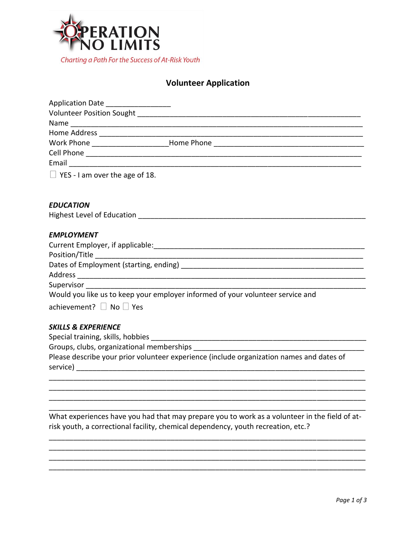

# **Volunteer Application**

| Application Date ___________________                                                     |
|------------------------------------------------------------------------------------------|
|                                                                                          |
|                                                                                          |
|                                                                                          |
| Work Phone _______________________Home Phone ___________________________________         |
|                                                                                          |
|                                                                                          |
| $\Box$ YES - I am over the age of 18.                                                    |
|                                                                                          |
| <b>EDUCATION</b>                                                                         |
|                                                                                          |
| <b>EMPLOYMENT</b>                                                                        |
|                                                                                          |
|                                                                                          |
|                                                                                          |
|                                                                                          |
|                                                                                          |
| Would you like us to keep your employer informed of your volunteer service and           |
| achievement? $\Box$ No $\Box$ Yes                                                        |
| <b>SKILLS &amp; EXPERIENCE</b>                                                           |
|                                                                                          |
|                                                                                          |
| Please describe your prior volunteer experience (include organization names and dates of |

What experiences have you had that may prepare you to work as a volunteer in the field of atrisk youth, a correctional facility, chemical dependency, youth recreation, etc.?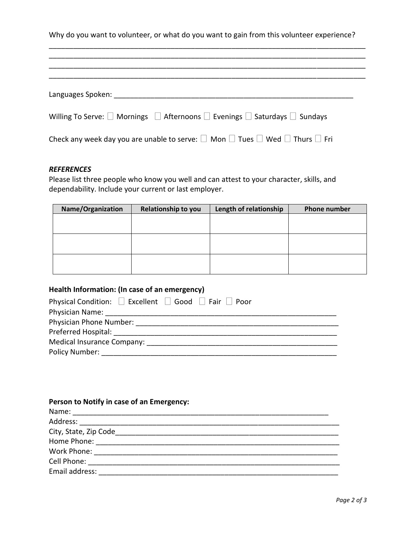Why do you want to volunteer, or what do you want to gain from this volunteer experience?

\_\_\_\_\_\_\_\_\_\_\_\_\_\_\_\_\_\_\_\_\_\_\_\_\_\_\_\_\_\_\_\_\_\_\_\_\_\_\_\_\_\_\_\_\_\_\_\_\_\_\_\_\_\_\_\_\_\_\_\_\_\_\_\_\_\_\_\_\_\_\_\_\_\_\_\_\_\_

| Languages Spoken: __________                                                                                         |
|----------------------------------------------------------------------------------------------------------------------|
| Willing To Serve: $\square$ Mornings $\square$ Afternoons $\square$ Evenings $\square$ Saturdays $\square$ Sundays   |
| Check any week day you are unable to serve: $\square$ Mon $\square$ Tues $\square$ Wed $\square$ Thurs $\square$ Fri |

#### *REFERENCES*

Please list three people who know you well and can attest to your character, skills, and dependability. Include your current or last employer.

| Name/Organization | Relationship to you | Length of relationship | Phone number |
|-------------------|---------------------|------------------------|--------------|
|                   |                     |                        |              |
|                   |                     |                        |              |
|                   |                     |                        |              |
|                   |                     |                        |              |
|                   |                     |                        |              |
|                   |                     |                        |              |

## **Health Information: (In case of an emergency)**

| Physical Condition: $\Box$ Excellent $\Box$ Good $\Box$ Fair $\Box$ Poor |
|--------------------------------------------------------------------------|
| Physician Name:                                                          |
| Physician Phone Number:                                                  |
| Preferred Hospital: ______________                                       |
| Medical Insurance Company:                                               |
| Policy Number:                                                           |
|                                                                          |

| Person to Notify in case of an Emergency: |
|-------------------------------------------|
| Name:                                     |
|                                           |
| City, State, Zip Code                     |
|                                           |
| Work Phone: <u>______________</u>         |
| Cell Phone:                               |
| Email address:                            |